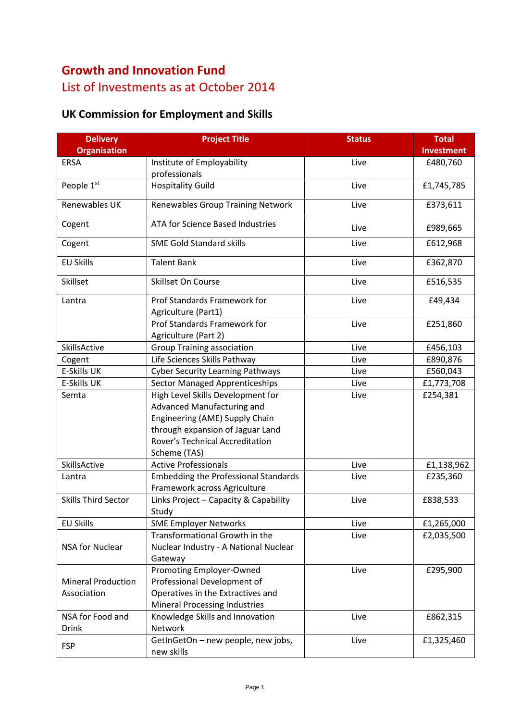# **Growth and Innovation Fund**  List of Investments as at October 2014

## **UK Commission for Employment and Skills**

| <b>Delivery</b>            | <b>Project Title</b>                                              | <b>Status</b> | <b>Total</b>      |
|----------------------------|-------------------------------------------------------------------|---------------|-------------------|
| <b>Organisation</b>        |                                                                   |               | <b>Investment</b> |
| ERSA                       | Institute of Employability                                        | Live          | £480,760          |
|                            | professionals                                                     |               |                   |
| People 1st                 | <b>Hospitality Guild</b>                                          | Live          | £1,745,785        |
| Renewables UK              | <b>Renewables Group Training Network</b>                          | Live          | £373,611          |
| Cogent                     | ATA for Science Based Industries                                  | Live          | £989,665          |
| Cogent                     | <b>SME Gold Standard skills</b>                                   | Live          | £612,968          |
| <b>EU Skills</b>           | <b>Talent Bank</b>                                                | Live          | £362,870          |
| Skillset                   | Skillset On Course                                                | Live          | £516,535          |
| Lantra                     | Prof Standards Framework for                                      | Live          | £49,434           |
|                            | Agriculture (Part1)<br>Prof Standards Framework for               |               |                   |
|                            |                                                                   | Live          | £251,860          |
| SkillsActive               | Agriculture (Part 2)                                              | Live          |                   |
|                            | <b>Group Training association</b><br>Life Sciences Skills Pathway |               | £456,103          |
| Cogent                     |                                                                   | Live          | £890,876          |
| <b>E-Skills UK</b>         | <b>Cyber Security Learning Pathways</b>                           | Live          | £560,043          |
| <b>E-Skills UK</b>         | <b>Sector Managed Apprenticeships</b>                             | Live          | £1,773,708        |
| Semta                      | High Level Skills Development for                                 | Live          | £254,381          |
|                            | Advanced Manufacturing and                                        |               |                   |
|                            | Engineering (AME) Supply Chain                                    |               |                   |
|                            | through expansion of Jaguar Land                                  |               |                   |
|                            | Rover's Technical Accreditation                                   |               |                   |
|                            | Scheme (TAS)                                                      |               |                   |
| SkillsActive               | <b>Active Professionals</b>                                       | Live          | £1,138,962        |
| Lantra                     | <b>Embedding the Professional Standards</b>                       | Live          | £235,360          |
|                            | Framework across Agriculture                                      |               |                   |
| <b>Skills Third Sector</b> | Links Project - Capacity & Capability                             | Live          | £838,533          |
|                            | Study                                                             |               |                   |
| <b>EU Skills</b>           | <b>SME Employer Networks</b>                                      | Live          | £1,265,000        |
|                            | Transformational Growth in the                                    | Live          | £2,035,500        |
| NSA for Nuclear            | Nuclear Industry - A National Nuclear                             |               |                   |
|                            | Gateway                                                           |               |                   |
|                            | Promoting Employer-Owned                                          | Live          | £295,900          |
| <b>Mineral Production</b>  | Professional Development of                                       |               |                   |
| Association                | Operatives in the Extractives and                                 |               |                   |
|                            | Mineral Processing Industries                                     |               |                   |
| NSA for Food and           | Knowledge Skills and Innovation                                   | Live          | £862,315          |
| <b>Drink</b>               | Network                                                           |               |                   |
| <b>FSP</b>                 | GetInGetOn - new people, new jobs,                                | Live          | £1,325,460        |
|                            | new skills                                                        |               |                   |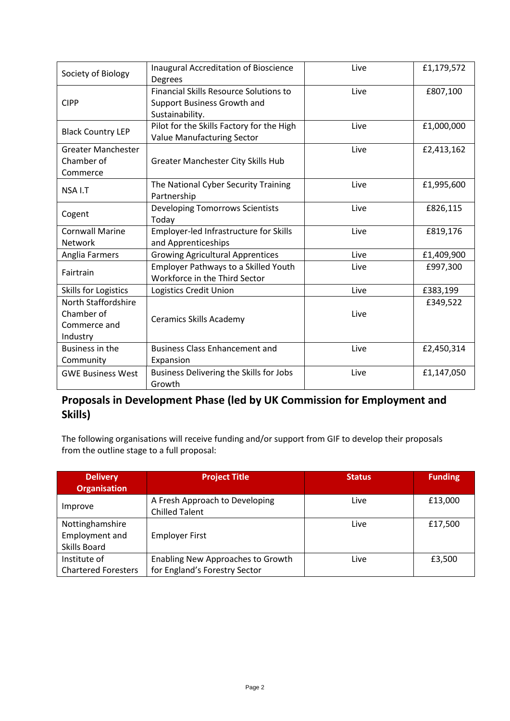| Society of Biology                                            | Inaugural Accreditation of Bioscience<br><b>Degrees</b>                                         | Live | £1,179,572 |
|---------------------------------------------------------------|-------------------------------------------------------------------------------------------------|------|------------|
| <b>CIPP</b>                                                   | <b>Financial Skills Resource Solutions to</b><br>Support Business Growth and<br>Sustainability. | Live | £807,100   |
| <b>Black Country LEP</b>                                      | Pilot for the Skills Factory for the High<br><b>Value Manufacturing Sector</b>                  | Live | £1,000,000 |
| <b>Greater Manchester</b><br>Chamber of<br>Commerce           | Greater Manchester City Skills Hub                                                              | Live | £2,413,162 |
| NSA I.T                                                       | The National Cyber Security Training<br>Partnership                                             | Live | £1,995,600 |
| Cogent                                                        | <b>Developing Tomorrows Scientists</b><br>Today                                                 | Live | £826,115   |
| <b>Cornwall Marine</b><br>Network                             | Employer-led Infrastructure for Skills<br>and Apprenticeships                                   | Live | £819,176   |
| Anglia Farmers                                                | <b>Growing Agricultural Apprentices</b>                                                         | Live | £1,409,900 |
| Fairtrain                                                     | <b>Employer Pathways to a Skilled Youth</b><br>Workforce in the Third Sector                    | Live | £997,300   |
| <b>Skills for Logistics</b>                                   | Logistics Credit Union                                                                          | Live | £383,199   |
| North Staffordshire<br>Chamber of<br>Commerce and<br>Industry | <b>Ceramics Skills Academy</b>                                                                  | Live | £349,522   |
| Business in the<br>Community                                  | <b>Business Class Enhancement and</b><br>Expansion                                              | Live | £2,450,314 |
| <b>GWE Business West</b>                                      | Business Delivering the Skills for Jobs<br>Growth                                               | Live | £1,147,050 |

#### **Proposals in Development Phase (led by UK Commission for Employment and Skills)**

The following organisations will receive funding and/or support from GIF to develop their proposals from the outline stage to a full proposal:

| <b>Delivery</b><br><b>Organisation</b>                   | <b>Project Title</b>                                               | <b>Status</b> | <b>Funding</b> |
|----------------------------------------------------------|--------------------------------------------------------------------|---------------|----------------|
| Improve                                                  | A Fresh Approach to Developing<br><b>Chilled Talent</b>            | Live          | £13,000        |
| Nottinghamshire<br>Employment and<br><b>Skills Board</b> | <b>Employer First</b>                                              | Live          | £17,500        |
| Institute of<br><b>Chartered Foresters</b>               | Enabling New Approaches to Growth<br>for England's Forestry Sector | Live          | £3,500         |